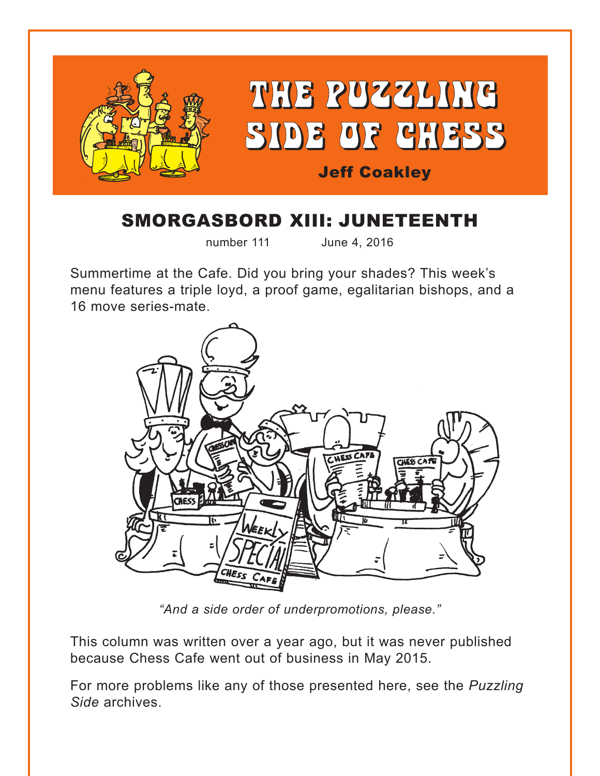

# SMORGASBORD XIII: JUNETEENTH

number 111 June 4, 2016

Summertime at the Cafe. Did you bring your shades? This week's menu features a triple loyd, a proof game, egalitarian bishops, and a 16 move series-mate.



*"And a side order of underpromotions, please."*

This column was written over a year ago, but it was never published because Chess Cafe went out of business in May 2015.

For more problems like any of those presented here, see the *Puzzling Side* archives.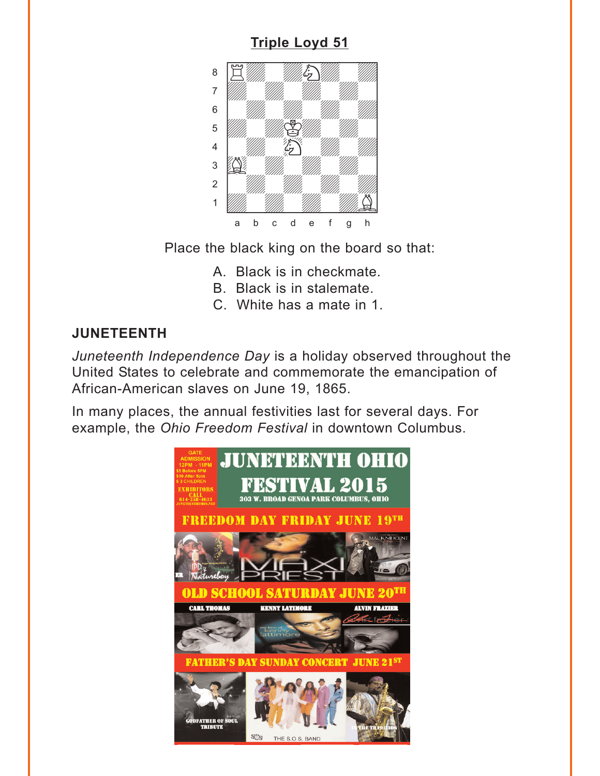<span id="page-1-0"></span>

Place the black king on the board so that:

- A. Black is in checkmate.
- B. Black is in stalemate.
- C. White has a mate in 1.

### **JUNETEENTH**

Juneteenth Independence Day is a holiday observed throughout the United States to celebrate and commemorate the emancipation of African-American slaves on June 19, 1865.

In many places, the annual festivities last for several days. For example, the Ohio Freedom Festival in downtown Columbus.

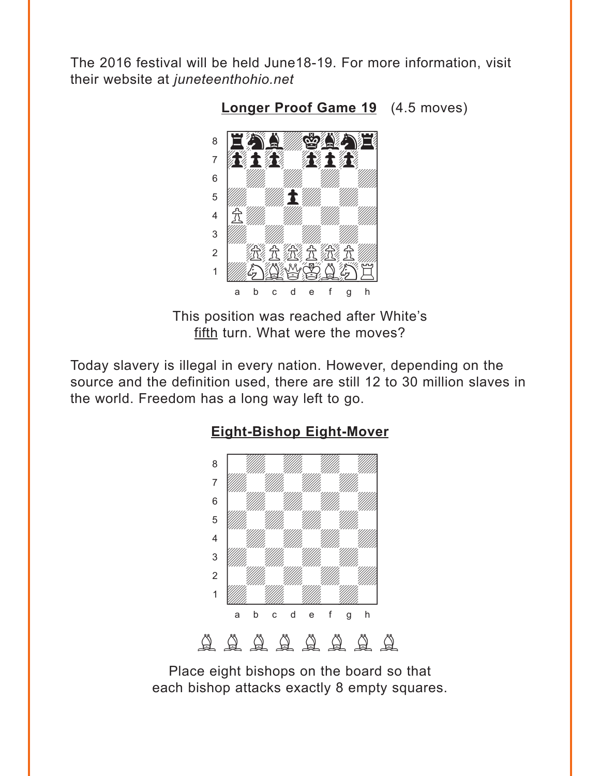<span id="page-2-0"></span>The 2016 festival will be held June18-19. For more information, visit their website at *juneteenthohio.net* 



**[Longer Proof Game 19](#page-4-0)** (4.5 moves)

This position was reached after White's fifth turn. What were the moves?

Today slavery is illegal in every nation. However, depending on the source and the definition used, there are still 12 to 30 million slaves in the world. Freedom has a long way left to go.



### **[Eight-Bishop Eight-Mover](#page-5-0)**

Place eight bishops on the board so that each bishop attacks exactly 8 empty squares.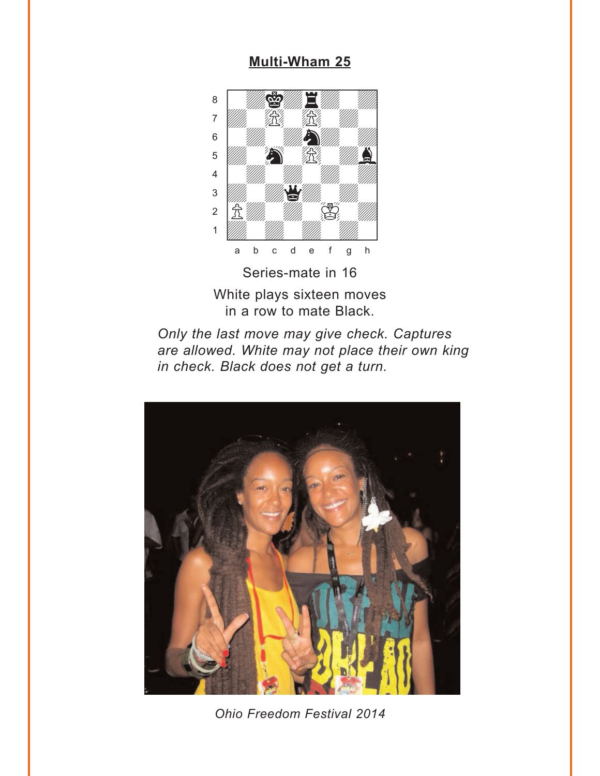#### **Multi-Wham 25**

<span id="page-3-0"></span>

Series-mate in 16 White plays sixteen moves in a row to mate Black.





Ohio Freedom Festival 2014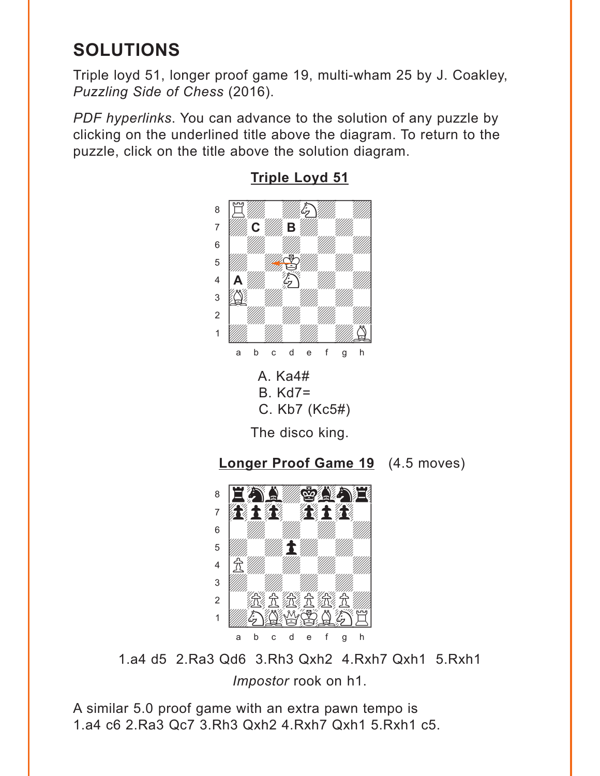## <span id="page-4-0"></span>**SOLUTIONS**

Triple loyd 51, longer proof game 19, multi-wham 25 by J. Coakley, *Puzzling Side of Chess* (2016).

*PDF hyperlinks*. You can advance to the solution of any puzzle by clicking on the underlined title above the diagram. To return to the puzzle, click on the title above the solution diagram.



## **[Triple Loyd 51](#page-1-0)**



1.a4 d5 2.Ra3 Qd6 3.Rh3 Qxh2 4.Rxh7 Qxh1 5.Rxh1 *Impostor* rook on h1.

A similar 5.0 proof game with an extra pawn tempo is 1.a4 c6 2.Ra3 Qc7 3.Rh3 Qxh2 4.Rxh7 Qxh1 5.Rxh1 c5.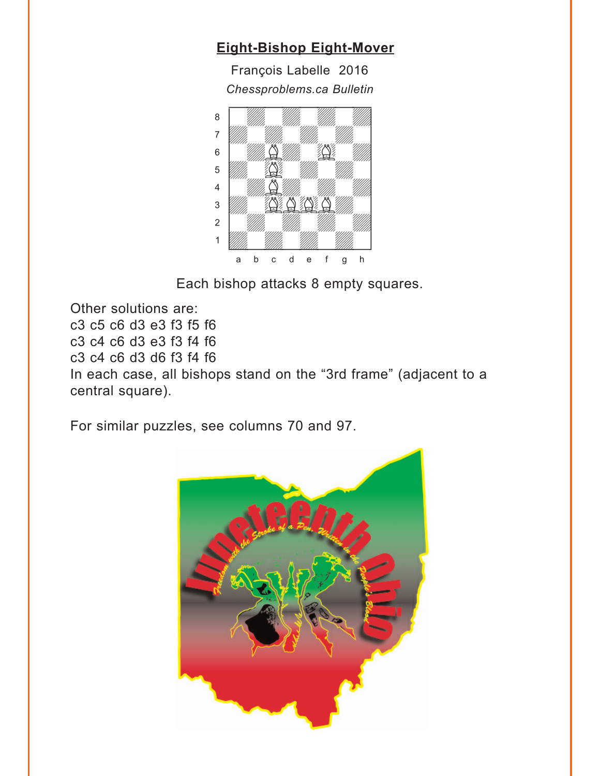## <span id="page-5-0"></span>**[Eight-Bishop Eight-Mover](#page-2-0)**

François Labelle 2016 *Chessproblems.ca Bulletin* w\_\_\_\_\_\_\_\_w



Each bishop attacks 8 empty squares.

Other solutions are: c3 c5 c6 d3 e3 f3 f5 f6 c3 c4 c6 d3 e3 f3 f4 f6 c3 c4 c6 d3 d6 f3 f4 f6 In each case, all bishops stand on the "3rd frame" (adjacent to a central square).

For similar puzzles, see columns 70 and 97.

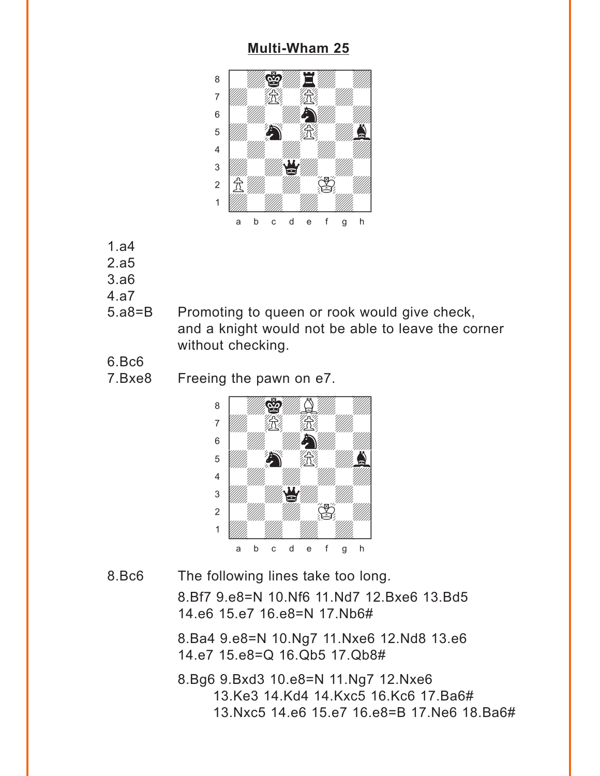#### **[Multi-Wham 25](#page-3-0)**

<span id="page-6-0"></span>

- 1.a4
- 2.a5
- 3.a6
- 4.a7
- 5.a8=B Promoting to queen or rook would give check, and a knight would not be able to leave the corner without checking.
- 6.Bc6
- 7.Bxe8 Freeing the pawn on e7.



8.Bc6 The following lines take too long.

8.Bf7 9.e8=N 10.Nf6 11.Nd7 12.Bxe6 13.Bd5 14.e6 15.e7 16.e8=N 17.Nb6#

8.Ba4 9.e8=N 10.Ng7 11.Nxe6 12.Nd8 13.e6 14.e7 15.e8=Q 16.Qb5 17.Qb8#

8.Bg6 9.Bxd3 10.e8=N 11.Ng7 12.Nxe6 13.Ke3 14.Kd4 14.Kxc5 16.Kc6 17.Ba6# 13.Nxc5 14.e6 15.e7 16.e8=B 17.Ne6 18.Ba6#